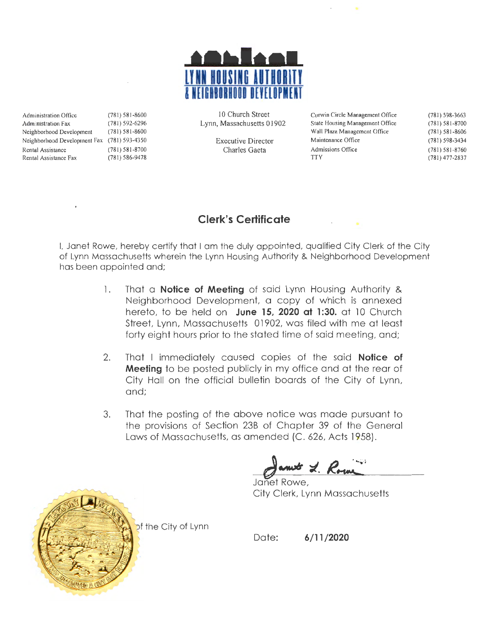

Administration Office (781) 58 1-8600 Administration Fax (781) 592-6296 Neighborhood Development (781 ) 581-8600 Neighborhood Development Fax (781) 593-4350 Rental Assistance (781) 581-8700<br>Rental Assistance Fax (781) 586-9478 Rental Assistance Fax

10 Church Street Lynn, Massachusetts 01902

> Executive Director Charles Gaeta

Curwin Circle Management Office State Housing Management Office Wall Plaza Management Office Maintenance Office Admissions Office **TTY** 

(781) 598-3663 (781) 581-8700 (781) 581 -8606 (781) 598-3434 (781) 581 -8760 (781) 477-2837

### **Clerk's Certificate**

I. Janet Rowe, hereby certify that I am the duly appointed, qualified City Clerk of the City of Lynn Massachusetts wherein the Lynn Housing Authority & Neighborhood Development has been appointed and;

- 1. That a **Notice of Meeting** of said Lynn Housing Authority & Neighborhood Development, a copy of which is annexed hereto, to be held on **June 15, 2020 at 1 :30.** at 10 Church Street, Lynn, Massachusetts 01902, was filed with me at least forty eight hours prior to the stated time of said meeting, and;
- 2. That I immediately caused copies of the said **Notice of Meeting** to be posted publicly in my office and at the rear of City Hall on the official bulletin boards of the City of Lynn, and;
- 3. That the posting of the above notice was made pursuant to the provisions of Section 23B of Chapter 39 of the General Laws of Massachusetts, as amended (C. 626, Acts 1958).

Janet Rowe, City Clerk, Lynn Massachusetts



of the City of Lynn

Date: **6/11 /2020**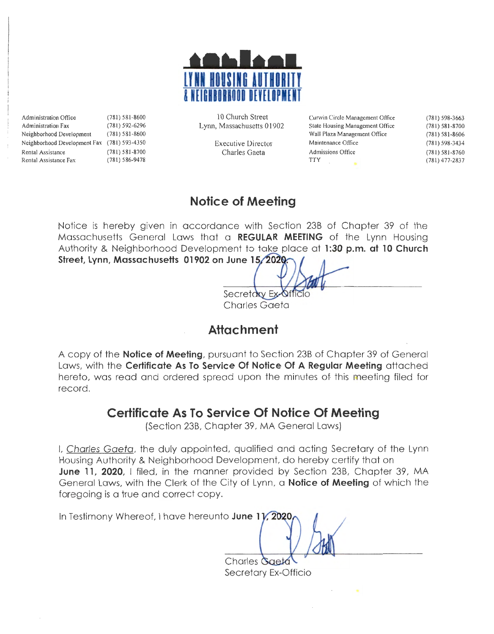

Administration Office (781) 581-8600<br>Administration Fax (781) 592-6296 Administration Fax (781) 592-6296<br>Neighborhood Development (781) 581-8600 Neighborhood Development Neighborhood Development Fax (781) 593-4350 Rental Assistance Rental Assistance Fax (781) 581-8700 (781) 586-9478

10 Church Street Lynn, Massachusetts 01902

> Executive Director Charles Gaeta

Curwin Circle Management Office Slate Housing Management Office Wall Plaza Management Office Maintenance Office Admissions Office TIY (781) 598-3663 (78 1) 581-8700 (78 1) 581-8606 (781) 598-3434 (781) 581 -8760 (78 1) 477-2837

### **Notice of Meeting**

Notice is hereby given in accordance with Section 238 of Chapter 39 of the Massachusetts General Laws that a **REGULAR MEETING** of the Lynn Housing Authority & Neighborhood Development to take place at **1:30 p.m. at 10 Church**  Street, Lynn, Massachusetts 01902 on June 15, 2020.

Secretary Ex-0 Charles Gaeta

# **Attachment**

A copy of the **Notice of Meeting,** pursuant to Section 238 of Chapter 39 of General Laws, with the **Certificate As To Service Of Notice Of A Regular Meeting** attached hereto, was read and ordered spread upon the minutes of. this meeting filed for record.

# **Certificate As To Service Of Notice Of Meeting**

(Section 238, Chapter 39, MA General Laws)

I, Charles Gaeta, the duly appointed, qualified and acting Secretary of the Lynn Housing Authority & Neighborhood Development, do hereby certify that on **June 11, 2020,** I filed, in the manner provided by Section 23B, Chapter 39, MA General Laws, with the Clerk of the City of Lynn, a **Notice of Meeting** of which the foregoing is a true and correct copy.

In Testimony Whereof, I have hereunto **June 11, 2020** 

**Charles Gaeta** Secretary Ex-Officio